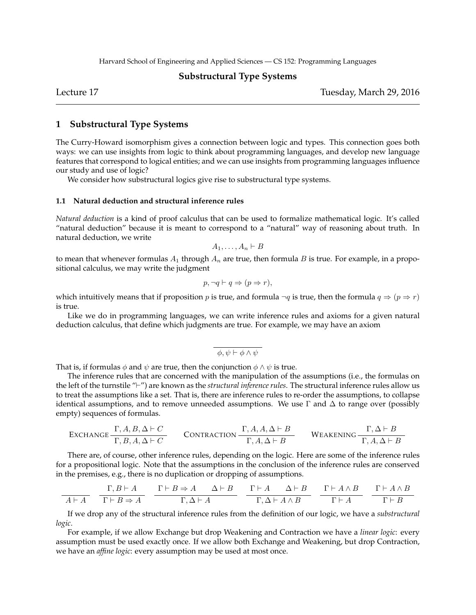Harvard School of Engineering and Applied Sciences — CS 152: Programming Languages

# **Substructural Type Systems**

Lecture 17 Tuesday, March 29, 2016

# **1 Substructural Type Systems**

The Curry-Howard isomorphism gives a connection between logic and types. This connection goes both ways: we can use insights from logic to think about programming languages, and develop new language features that correspond to logical entities; and we can use insights from programming languages influence our study and use of logic?

We consider how substructural logics give rise to substructural type systems.

# **1.1 Natural deduction and structural inference rules**

*Natural deduction* is a kind of proof calculus that can be used to formalize mathematical logic. It's called "natural deduction" because it is meant to correspond to a "natural" way of reasoning about truth. In natural deduction, we write

$$
A_1,\ldots,A_n\vdash B
$$

to mean that whenever formulas  $A_1$  through  $A_n$  are true, then formula  $B$  is true. For example, in a propositional calculus, we may write the judgment

$$
p, \neg q \vdash q \Rightarrow (p \Rightarrow r),
$$

which intuitively means that if proposition *p* is true, and formula  $\neg q$  is true, then the formula  $q \Rightarrow (p \Rightarrow r)$ is true.

Like we do in programming languages, we can write inference rules and axioms for a given natural deduction calculus, that define which judgments are true. For example, we may have an axiom

$$
\phi, \psi \vdash \phi \land \psi
$$

That is, if formulas  $\phi$  and  $\psi$  are true, then the conjunction  $\phi \wedge \psi$  is true.

The inference rules that are concerned with the manipulation of the assumptions (i.e., the formulas on the left of the turnstile "*⊢*") are known as the *structural inference rules*. The structural inference rules allow us to treat the assumptions like a set. That is, there are inference rules to re-order the assumptions, to collapse identical assumptions, and to remove unneeded assumptions. We use  $\Gamma$  and  $\Delta$  to range over (possibly empty) sequences of formulas.

EXAMPLE 2.2. 
$$
\frac{\Gamma, A, B, \Delta \vdash C}{\Gamma, B, A, \Delta \vdash C}
$$
 CONTRACTION  $\frac{\Gamma, A, A, \Delta \vdash B}{\Gamma, A, \Delta \vdash B}$  WEAKENING  $\frac{\Gamma, \Delta \vdash B}{\Gamma, A, \Delta \vdash B}$ 

There are, of course, other inference rules, depending on the logic. Here are some of the inference rules for a propositional logic. Note that the assumptions in the conclusion of the inference rules are conserved in the premises, e.g., there is no duplication or dropping of assumptions.

$$
\frac{\Gamma, B \vdash A}{A \vdash A} \quad \frac{\Gamma, B \vdash A}{\Gamma \vdash B \Rightarrow A} \quad \frac{\Gamma \vdash B \Rightarrow A \quad \Delta \vdash B}{\Gamma, \Delta \vdash A} \quad \frac{\Gamma \vdash A \quad \Delta \vdash B}{\Gamma, \Delta \vdash A \land B} \quad \frac{\Gamma \vdash A \land B}{\Gamma \vdash A} \quad \frac{\Gamma \vdash A \land B}{\Gamma \vdash B}
$$

If we drop any of the structural inference rules from the definition of our logic, we have a *substructural logic*.

For example, if we allow Exchange but drop Weakening and Contraction we have a *linear logic*: every assumption must be used exactly once. If we allow both Exchange and Weakening, but drop Contraction, we have an *affine logic*: every assumption may be used at most once.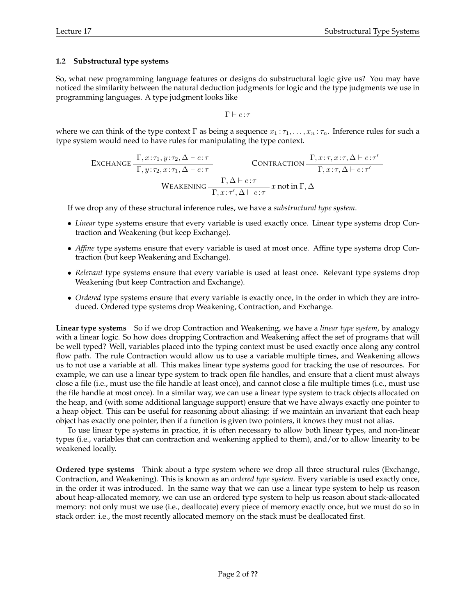# **1.2 Substructural type systems**

So, what new programming language features or designs do substructural logic give us? You may have noticed the similarity between the natural deduction judgments for logic and the type judgments we use in programming languages. A type judgment looks like

$$
\Gamma \vdash e \! : \! \tau
$$

where we can think of the type context  $\Gamma$  as being a sequence  $x_1 : \tau_1, \ldots, x_n : \tau_n$ . Inference rules for such a type system would need to have rules for manipulating the type context.

EXCHANGE

\n
$$
\frac{\Gamma, x:\tau_1, y:\tau_2, \Delta \vdash e:\tau}{\Gamma, y:\tau_2, x:\tau_1, \Delta \vdash e:\tau}
$$
\nCONTRACTION

\n
$$
\frac{\Gamma, x:\tau, x:\tau, \Delta \vdash e:\tau'}{\Gamma, x:\tau, \Delta \vdash e:\tau'}
$$
\nWEAKENING

\n
$$
\frac{\Gamma, \Delta \vdash e:\tau}{\Gamma, x:\tau', \Delta \vdash e:\tau} x \text{ not in } \Gamma, \Delta
$$

If we drop any of these structural inference rules, we have a *substructural type system*.

- *• Linear* type systems ensure that every variable is used exactly once. Linear type systems drop Contraction and Weakening (but keep Exchange).
- *Affine* type systems ensure that every variable is used at most once. Affine type systems drop Contraction (but keep Weakening and Exchange).
- *Relevant* type systems ensure that every variable is used at least once. Relevant type systems drop Weakening (but keep Contraction and Exchange).
- *• Ordered* type systems ensure that every variable is exactly once, in the order in which they are introduced. Ordered type systems drop Weakening, Contraction, and Exchange.

**Linear type systems** So if we drop Contraction and Weakening, we have a *linear type system*, by analogy with a linear logic. So how does dropping Contraction and Weakening affect the set of programs that will be well typed? Well, variables placed into the typing context must be used exactly once along any control flow path. The rule Contraction would allow us to use a variable multiple times, and Weakening allows us to not use a variable at all. This makes linear type systems good for tracking the use of resources. For example, we can use a linear type system to track open file handles, and ensure that a client must always close a file (i.e., must use the file handle at least once), and cannot close a file multiple times (i.e., must use the file handle at most once). In a similar way, we can use a linear type system to track objects allocated on the heap, and (with some additional language support) ensure that we have always exactly one pointer to a heap object. This can be useful for reasoning about aliasing: if we maintain an invariant that each heap object has exactly one pointer, then if a function is given two pointers, it knows they must not alias.

To use linear type systems in practice, it is often necessary to allow both linear types, and non-linear types (i.e., variables that can contraction and weakening applied to them), and/or to allow linearity to be weakened locally.

**Ordered type systems** Think about a type system where we drop all three structural rules (Exchange, Contraction, and Weakening). This is known as an *ordered type system*. Every variable is used exactly once, in the order it was introduced. In the same way that we can use a linear type system to help us reason about heap-allocated memory, we can use an ordered type system to help us reason about stack-allocated memory: not only must we use (i.e., deallocate) every piece of memory exactly once, but we must do so in stack order: i.e., the most recently allocated memory on the stack must be deallocated first.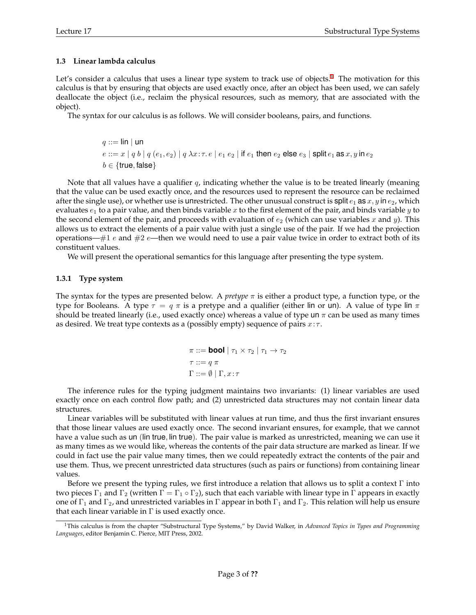### **1.3 Linear lambda calculus**

Let's consider a calculus that uses a linear type system to track use of objects.<sup>1</sup> The motivation for this calculus is that by ensuring that objects are used exactly once, after an object has been used, we can safely deallocate the object (i.e., reclaim the physical resources, such as memory, that are associated with the object).

The syntax for our calculus is as follows. We will consider booleans, pairs, and functions.

$$
q ::= \text{lin} \mid \text{un}
$$
\n
$$
e ::= x \mid q b \mid q (e_1, e_2) \mid q \lambda x{:}\tau. e \mid e_1 e_2 \mid \text{if } e_1 \text{ then } e_2 \text{ else } e_3 \mid \text{split } e_1 \text{ as } x, y \text{ in } e_2
$$
\n
$$
b \in \{\text{true}, \text{false}\}
$$

Note that all values have a qualifier *q*, indicating whether the value is to be treated linearly (meaning that the value can be used exactly once, and the resources used to represent the resource can be reclaimed after the single use), or whether use is unrestricted. The other unusual construct is split  $e_1$  as  $x, y$  in  $e_2$ , which evaluates *e*<sup>1</sup> to a pair value, and then binds variable *x* to the first element of the pair, and binds variable *y* to the second element of the pair, and proceeds with evaluation of  $e_2$  (which can use variables x and y). This allows us to extract the elements of a pair value with just a single use of the pair. If we had the projection operations—#1 *e* and #2 *e*—then we would need to use a pair value twice in order to extract both of its constituent values.

We will present the operational semantics for this language after presenting the type system.

### **1.3.1 Type system**

The syntax for the types are presented below. A *pretype π* is either a product type, a function type, or the type for Booleans. A type *τ* = *q π* is a pretype and a qualifier (either lin or un). A value of type lin *π* should be treated linearly (i.e., used exactly once) whereas a value of type un  $\pi$  can be used as many times as desired. We treat type contexts as a (possibly empty) sequence of pairs *x*: *τ* .

$$
\pi ::= \textbf{bool} | \tau_1 \times \tau_2 | \tau_1 \to \tau_2
$$

$$
\tau ::= q \pi
$$

$$
\Gamma ::= \emptyset | \Gamma, x : \tau
$$

The inference rules for the typing judgment maintains two invariants: (1) linear variables are used exactly once on each control flow path; and (2) unrestricted data structures may not contain linear data structures.

Linear variables will be substituted with linear values at run time, and thus the first invariant ensures that those linear values are used exactly once. The second invariant ensures, for example, that we cannot have a value such as un (lin true*,* lin true). The pair value is marked as unrestricted, meaning we can use it as many times as we would like, whereas the contents of the pair data structure are marked as linear. If we could in fact use the pair value many times, then we could repeatedly extract the contents of the pair and use them. Thus, we precent unrestricted data structures (such as pairs or functions) from containing linear values.

Before we present the typing rules, we first introduce a relation that allows us to split a context  $\Gamma$  into two pieces  $\Gamma_1$  and  $\Gamma_2$  (written  $\Gamma = \Gamma_1 \circ \Gamma_2$ ), such that each variable with linear type in  $\Gamma$  appears in exactly one of  $\Gamma_1$  and  $\Gamma_2$ , and unrestricted variables in Γ appear in both  $\Gamma_1$  and  $\Gamma_2$ . This relation will help us ensure that each linear variable in  $\Gamma$  is used exactly once.

<sup>1</sup>This calculus is from the chapter "Substructural Type Systems," by David Walker, in *Advanced Topics in Types and Programming Languages*, editor Benjamin C. Pierce, MIT Press, 2002.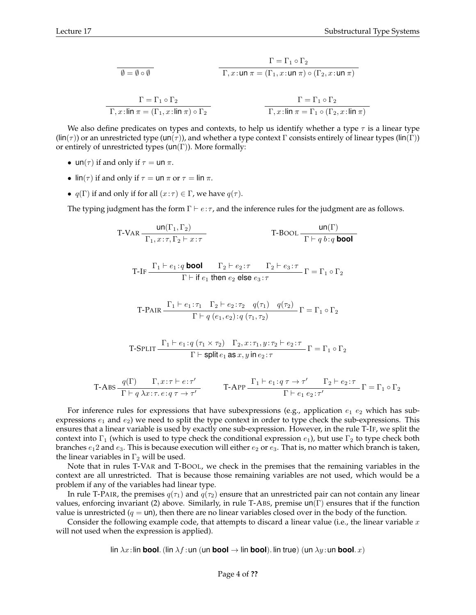$$
\frac{\Gamma = \Gamma_1 \circ \Gamma_2}{\Gamma, x : \mathsf{un} \; \pi = (\Gamma_1, x : \mathsf{un} \; \pi) \circ (\Gamma_2, x : \mathsf{un} \; \pi)}
$$

$$
\frac{\Gamma = \Gamma_1 \circ \Gamma_2}{\Gamma, x : \lim \pi = (\Gamma_1, x : \lim \pi) \circ \Gamma_2}
$$
\n
$$
\frac{\Gamma = \Gamma_1 \circ \Gamma_2}{\Gamma, x : \lim \pi = \Gamma_1 \circ (\Gamma_2, x : \lim \pi)}
$$

We also define predicates on types and contexts, to help us identify whether a type *τ* is a linear type (lin(*τ* )) or an unrestricted type (un(*τ* )), and whether a type context Γ consists entirely of linear types (lin(Γ)) or entirely of unrestricted types  $(\text{un}(\Gamma))$ . More formally:

- un( $\tau$ ) if and only if  $\tau =$  un  $\pi$ .
- lin( $\tau$ ) if and only if  $\tau = \tan \pi$  or  $\tau = \ln \pi$ .
- *q*( $\Gamma$ ) if and only if for all  $(x:\tau) \in \Gamma$ , we have *q*( $\tau$ ).

The typing judgment has the form Γ *⊢ e*: *τ* , and the inference rules for the judgment are as follows.

$$
\text{T-VAR} \frac{\text{un}(\Gamma_1, \Gamma_2)}{\Gamma_1, x : \tau, \Gamma_2 \vdash x : \tau} \qquad \qquad \text{T-BOOL} \frac{\text{un}(\Gamma)}{\Gamma \vdash q \, b : q \text{bool}}
$$

$$
\text{ T-IF } \frac{\Gamma_1 \vdash e_1 : q \text{ bool} \qquad \Gamma_2 \vdash e_2 : \tau \qquad \Gamma_2 \vdash e_3 : \tau}{\Gamma \vdash \text{if } e_1 \text{ then } e_2 \text{ else } e_3 : \tau} \Gamma = \Gamma_1 \circ \Gamma_2
$$

$$
\text{T-PAIR} \frac{\Gamma_1 \vdash e_1 : \tau_1 \quad \Gamma_2 \vdash e_2 : \tau_2 \quad q(\tau_1) \quad q(\tau_2)}{\Gamma \vdash q \ (e_1, e_2) : q \ (\tau_1, \tau_2)} \ \Gamma = \Gamma_1 \circ \Gamma_2
$$

$$
\text{T-SPLIT} \frac{\Gamma_1 \vdash e_1 : q (\tau_1 \times \tau_2) \quad \Gamma_2, x : \tau_1, y : \tau_2 \vdash e_2 : \tau}{\Gamma \vdash \text{split } e_1 \text{ as } x, y \text{ in } e_2 : \tau} \Gamma = \Gamma_1 \circ \Gamma_2
$$

$$
\text{T-ABS} \frac{q(\Gamma)}{\Gamma \vdash q \lambda x : \tau \cdot e : q \tau \to \tau'} \qquad \text{T-APP} \frac{\Gamma_1 \vdash e_1 : q \tau \to \tau'}{\Gamma \vdash e_1 e_2 : \tau'} \Gamma = \Gamma_1 \circ \Gamma_2
$$

For inference rules for expressions that have subexpressions (e.g., application  $e_1$   $e_2$  which has subexpressions  $e_1$  and  $e_2$ ) we need to split the type context in order to type check the sub-expressions. This ensures that a linear variable is used by exactly one sub-expression. However, in the rule T-IF, we split the context into  $\Gamma_1$  (which is used to type check the conditional expression  $e_1$ ), but use  $\Gamma_2$  to type check both branches  $e_1$ 2 and  $e_3$ . This is because execution will either  $e_2$  or  $e_3$ . That is, no matter which branch is taken, the linear variables in  $\Gamma_2$  will be used.

Note that in rules T-VAR and T-BOOL, we check in the premises that the remaining variables in the context are all unrestricted. That is because those remaining variables are not used, which would be a problem if any of the variables had linear type.

In rule T-PAIR, the premises  $q(\tau_1)$  and  $q(\tau_2)$  ensure that an unrestricted pair can not contain any linear values, enforcing invariant (2) above. Similarly, in rule T-ABS, premise  $un(\Gamma)$  ensures that if the function value is unrestricted  $(q = \text{un})$ , then there are no linear variables closed over in the body of the function.

Consider the following example code, that attempts to discard a linear value (i.e., the linear variable *x* will not used when the expression is applied).

lin  $\lambda x$ :lin **bool**. (lin  $\lambda f$ :un (un **bool**  $\rightarrow$  lin **bool**). Iin true) (un  $\lambda y$ :un **bool**. x)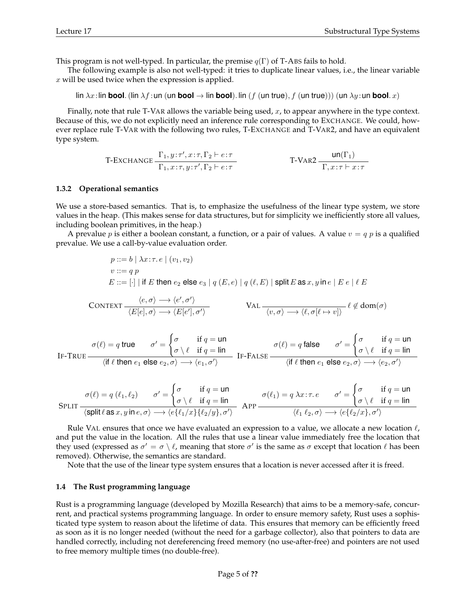This program is not well-typed. In particular, the premise  $q(\Gamma)$  of T-ABS fails to hold.

The following example is also not well-typed: it tries to duplicate linear values, i.e., the linear variable *x* will be used twice when the expression is applied.

lin  $\lambda x$ : lin **bool**. (lin  $\lambda f$ : un (un **bool**  $\rightarrow$  lin **bool**). lin (*f* (un true), *f* (un true))) (un  $\lambda y$ : un **bool**. *x*)

Finally, note that rule T-VAR allows the variable being used, *x*, to appear anywhere in the type context. Because of this, we do not explicitly need an inference rule corresponding to EXCHANGE. We could, however replace rule T-VAR with the following two rules, T-EXCHANGE and T-VAR2, and have an equivalent type system.

$$
\text{T-EXCHANGE} \frac{\Gamma_1, y : \tau', x : \tau, \Gamma_2 \vdash e : \tau}{\Gamma_1, x : \tau, y : \tau', \Gamma_2 \vdash e : \tau} \qquad \qquad \text{T-VAR2} \frac{\text{un}(\Gamma_1)}{\Gamma, x : \tau \vdash x : \tau}
$$

#### **1.3.2 Operational semantics**

We use a store-based semantics. That is, to emphasize the usefulness of the linear type system, we store values in the heap. (This makes sense for data structures, but for simplicity we inefficiently store all values, including boolean primitives, in the heap.)

A prevalue *p* is either a boolean constant, a function, or a pair of values. A value  $v = q$  *p* is a qualified prevalue. We use a call-by-value evaluation order.

$$
p ::= b | \lambda x : \tau. e | (v_1, v_2)
$$
  
\n
$$
v ::= q p
$$
  
\n
$$
E ::= [\cdot] | \text{ if } E \text{ then } e_2 \text{ else } e_3 | q(E, e) | q(\ell, E) | \text{ split } E \text{ as } x, y \text{ in } e | E e | \ell E
$$
  
\n
$$
\text{CONTEXT}\frac{\langle e, \sigma \rangle \longrightarrow \langle e', \sigma' \rangle}{\langle E[e], \sigma \rangle \longrightarrow \langle E[e'], \sigma' \rangle} \qquad \text{VAL}\frac{\langle v, \sigma \rangle \longrightarrow \langle \ell, \sigma[\ell \mapsto v] \rangle}{\langle v, \sigma \rangle \longrightarrow \langle \ell, \sigma[\ell \mapsto v] \rangle} \ell \notin \text{dom}(\sigma)
$$

$$
\sigma(\ell) = q \text{ true} \qquad \sigma' = \begin{cases} \sigma & \text{ if } q = \text{ un} \\ \sigma \setminus \ell & \text{ if } q = \text{ lin} \end{cases} \qquad \sigma(\ell) = q \text{ false} \qquad \sigma' = \begin{cases} \sigma & \text{ if } q = \text{ un} \\ \sigma \setminus \ell & \text{ if } q = \text{ lin} \end{cases}
$$
  
If -TRUE  $\frac{\sigma(\ell) = q \text{ false}}{\langle \text{ if } \ell \text{ then } e_1 \text{ else } e_2, \sigma \rangle \longrightarrow \langle e_2, \sigma' \rangle}$ 

$$
\text{SPLIT} \frac{\sigma(\ell) = q(\ell_1, \ell_2)}{\langle \text{split} \ell \text{ as } x, y \text{ in } e, \sigma \rangle \longrightarrow \langle e \{ \ell_1/x \} \{ \ell_2/y \}, \sigma' \rangle} \quad \text{APP} \frac{\sigma(\ell_1) = q \lambda x : \tau. e \qquad \sigma' = \begin{cases} \sigma & \text{if } q = \text{un} \\ \sigma \setminus \ell & \text{if } q = \text{lin} \end{cases}}{\langle \ell_1 \ell_2, \sigma \rangle \longrightarrow \langle e \{ \ell_2/x \}, \sigma' \rangle}
$$

Rule VAL ensures that once we have evaluated an expression to a value, we allocate a new location *ℓ*, and put the value in the location. All the rules that use a linear value immediately free the location that they used (expressed as  $\sigma' = \sigma \setminus \ell$ , meaning that store  $\sigma'$  is the same as  $\sigma$  except that location  $\ell$  has been removed). Otherwise, the semantics are standard.

Note that the use of the linear type system ensures that a location is never accessed after it is freed.

#### **1.4 The Rust programming language**

Rust is a programming language (developed by Mozilla Research) that aims to be a memory-safe, concurrent, and practical systems programming language. In order to ensure memory safety, Rust uses a sophisticated type system to reason about the lifetime of data. This ensures that memory can be efficiently freed as soon as it is no longer needed (without the need for a garbage collector), also that pointers to data are handled correctly, including not dereferencing freed memory (no use-after-free) and pointers are not used to free memory multiple times (no double-free).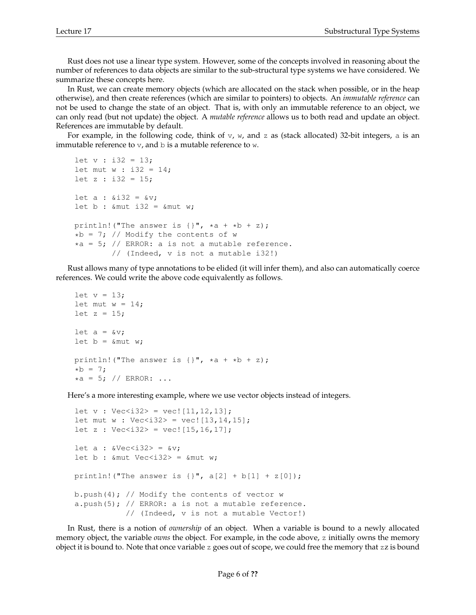Rust does not use a linear type system. However, some of the concepts involved in reasoning about the number of references to data objects are similar to the sub-structural type systems we have considered. We summarize these concepts here.

In Rust, we can create memory objects (which are allocated on the stack when possible, or in the heap otherwise), and then create references (which are similar to pointers) to objects. An *immutable reference* can not be used to change the state of an object. That is, with only an immutable reference to an object, we can only read (but not update) the object. A *mutable reference* allows us to both read and update an object. References are immutable by default.

For example, in the following code, think of  $v$ ,  $w$ , and z as (stack allocated) 32-bit integers, a is an immutable reference to  $\nabla$ , and  $\nabla$  is a mutable reference to  $\nabla$ .

```
let v : i32 = 13;let mut w : i32 = 14;let z : i32 = 15;let a : \& i32 = \& v;
let b : & mut i32 = & mut w;
println! ("The answer is \{\}", \stara + \starb + z);
*b = 7; // Modify the contents of w
*a = 5; // ERROR: a is not a mutable reference.
        // (Indeed, v is not a mutable i32!)
```
Rust allows many of type annotations to be elided (it will infer them), and also can automatically coerce references. We could write the above code equivalently as follows.

```
let v = 13;let mut w = 14;
let z = 15;
let a = \&v;let b = \text{kmut } w;println! ("The answer is \{\}", \stara + \starb + z);
*b = 7;*a = 5; // ERROR: ...
```
Here's a more interesting example, where we use vector objects instead of integers.

```
let v : Vec < i32 = vec! [11, 12, 13];
let mut w : Vec<i32> = vec![13, 14, 15];
let z : Vec<i32> = vec![15, 16, 17];
let a : \&\text{Vec} < i32 = \&\text{v};let b : & mut Vec < i 32> = & mut w;
println! ("The answer is \{\}", a[2] + b[1] + z[0]);
b.push(4); // Modify the contents of vector w
a.push(5); // ERROR: a is not a mutable reference.
            // (Indeed, v is not a mutable Vector!)
```
In Rust, there is a notion of *ownership* of an object. When a variable is bound to a newly allocated memory object, the variable *owns* the object. For example, in the code above, z initially owns the memory object it is bound to. Note that once variable z goes out of scope, we could free the memory that zz is bound